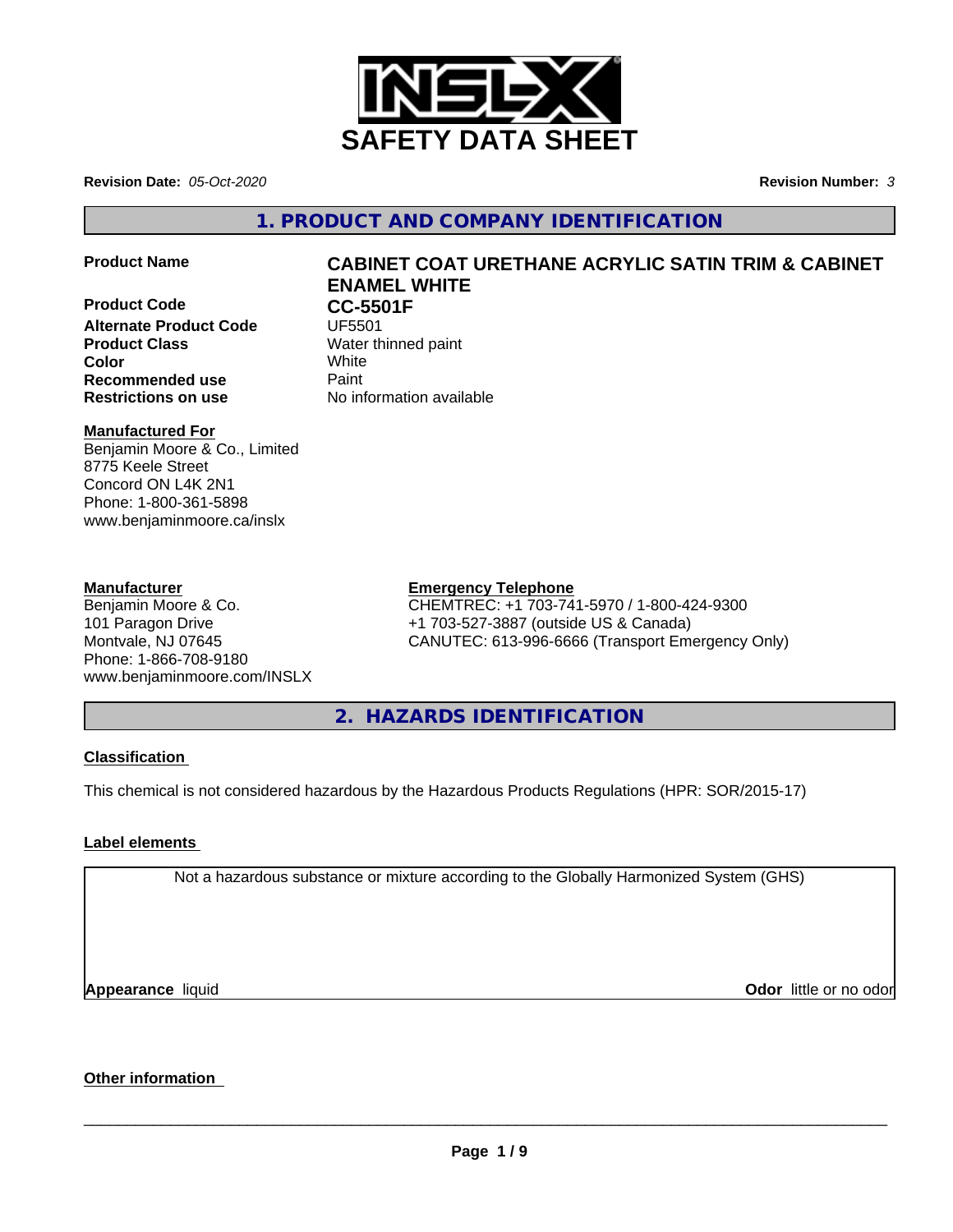

**Revision Date:** *05-Oct-2020* **Revision Number:** *3*

**1. PRODUCT AND COMPANY IDENTIFICATION**

- 
- **Product Code CC-5501F**<br>Alternate Product Code UF5501 **Alternate Product Code Product Class** Water thinned paint **Color** White **Recommended use** Paint **Restrictions on use** No information available

# **Product Name CABINET COAT URETHANE ACRYLIC SATIN TRIM & CABINET ENAMEL WHITE**

# **Manufactured For**

Benjamin Moore & Co., Limited 8775 Keele Street Concord ON L4K 2N1 Phone: 1-800-361-5898 www.benjaminmoore.ca/inslx

### **Manufacturer**

Benjamin Moore & Co. 101 Paragon Drive Montvale, NJ 07645 Phone: 1-866-708-9180 www.benjaminmoore.com/INSLX

# **Emergency Telephone**

CHEMTREC: +1 703-741-5970 / 1-800-424-9300 +1 703-527-3887 (outside US & Canada) CANUTEC: 613-996-6666 (Transport Emergency Only)

**2. HAZARDS IDENTIFICATION**

# **Classification**

This chemical is not considered hazardous by the Hazardous Products Regulations (HPR: SOR/2015-17)

# **Label elements**

Not a hazardous substance or mixture according to the Globally Harmonized System (GHS)

**Appearance** liquid

**Odor** little or no odor

# **Other information**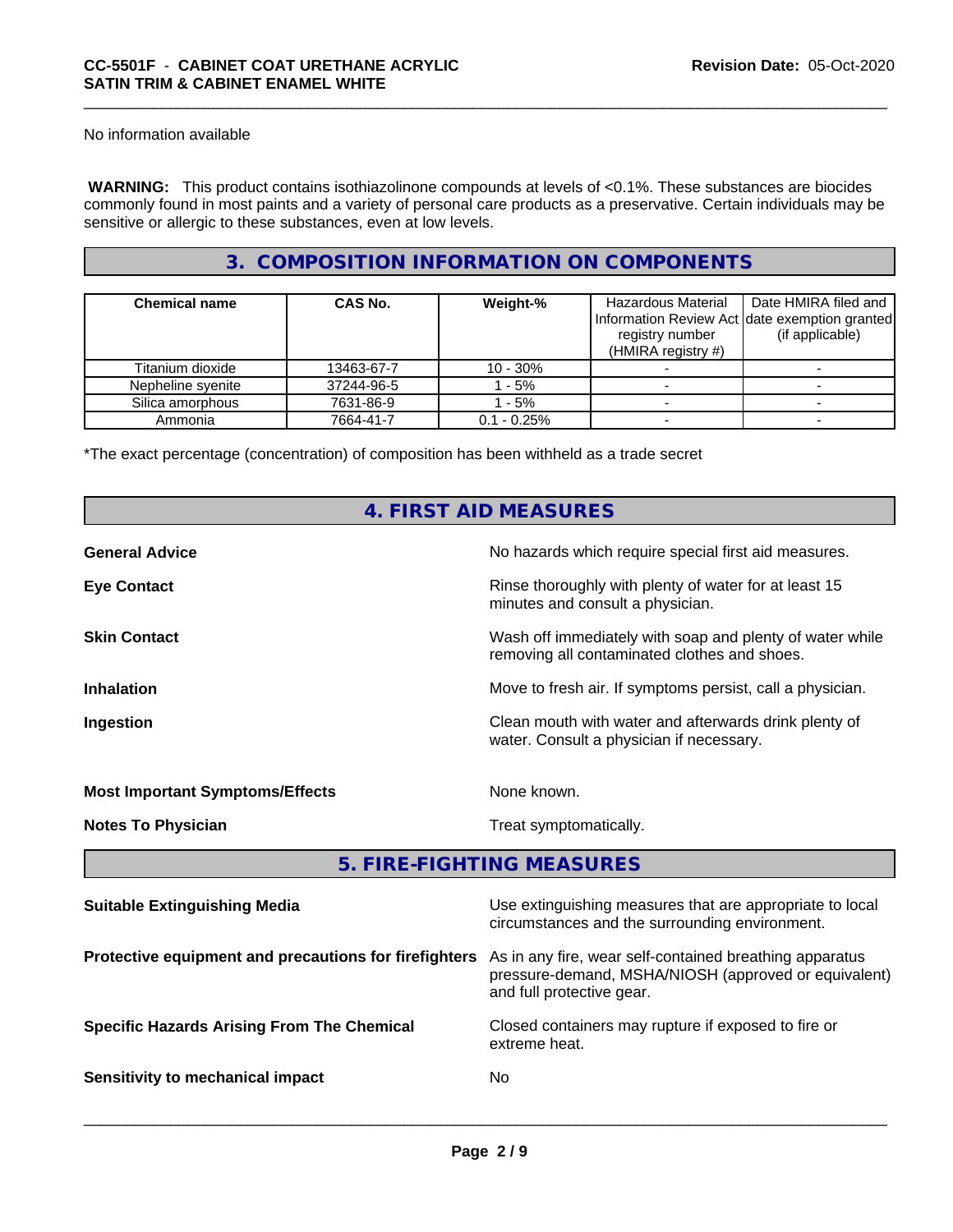No information available

 **WARNING:** This product contains isothiazolinone compounds at levels of <0.1%. These substances are biocides commonly found in most paints and a variety of personal care products as a preservative. Certain individuals may be sensitive or allergic to these substances, even at low levels.

# **3. COMPOSITION INFORMATION ON COMPONENTS**

| <b>Chemical name</b> | CAS No.    | Weight-%       | Hazardous Material<br>Information Review Act date exemption granted<br>registry number<br>(HMIRA registry $#$ ) | Date HMIRA filed and<br>(if applicable) |
|----------------------|------------|----------------|-----------------------------------------------------------------------------------------------------------------|-----------------------------------------|
| Titanium dioxide     | 13463-67-7 | $10 - 30\%$    |                                                                                                                 |                                         |
| Nepheline syenite    | 37244-96-5 | - 5%           |                                                                                                                 |                                         |
| Silica amorphous     | 7631-86-9  | $-5%$          |                                                                                                                 |                                         |
| Ammonia              | 7664-41-7  | $0.1 - 0.25\%$ |                                                                                                                 |                                         |

\*The exact percentage (concentration) of composition has been withheld as a trade secret

# **4. FIRST AID MEASURES**

| No hazards which require special first aid measures.<br><b>General Advice</b>                                   |                                                           |
|-----------------------------------------------------------------------------------------------------------------|-----------------------------------------------------------|
| Rinse thoroughly with plenty of water for at least 15<br><b>Eye Contact</b><br>minutes and consult a physician. |                                                           |
| <b>Skin Contact</b><br>removing all contaminated clothes and shoes.                                             | Wash off immediately with soap and plenty of water while  |
| <b>Inhalation</b>                                                                                               | Move to fresh air. If symptoms persist, call a physician. |
| Ingestion<br>water. Consult a physician if necessary.                                                           | Clean mouth with water and afterwards drink plenty of     |
| None known.<br><b>Most Important Symptoms/Effects</b>                                                           |                                                           |
| <b>Notes To Physician</b><br>Treat symptomatically.                                                             |                                                           |

# **5. FIRE-FIGHTING MEASURES**

| <b>Suitable Extinguishing Media</b>                   | Use extinguishing measures that are appropriate to local<br>circumstances and the surrounding environment.                                   |
|-------------------------------------------------------|----------------------------------------------------------------------------------------------------------------------------------------------|
| Protective equipment and precautions for firefighters | As in any fire, wear self-contained breathing apparatus<br>pressure-demand, MSHA/NIOSH (approved or equivalent)<br>and full protective gear. |
| <b>Specific Hazards Arising From The Chemical</b>     | Closed containers may rupture if exposed to fire or<br>extreme heat.                                                                         |
| Sensitivity to mechanical impact                      | No.                                                                                                                                          |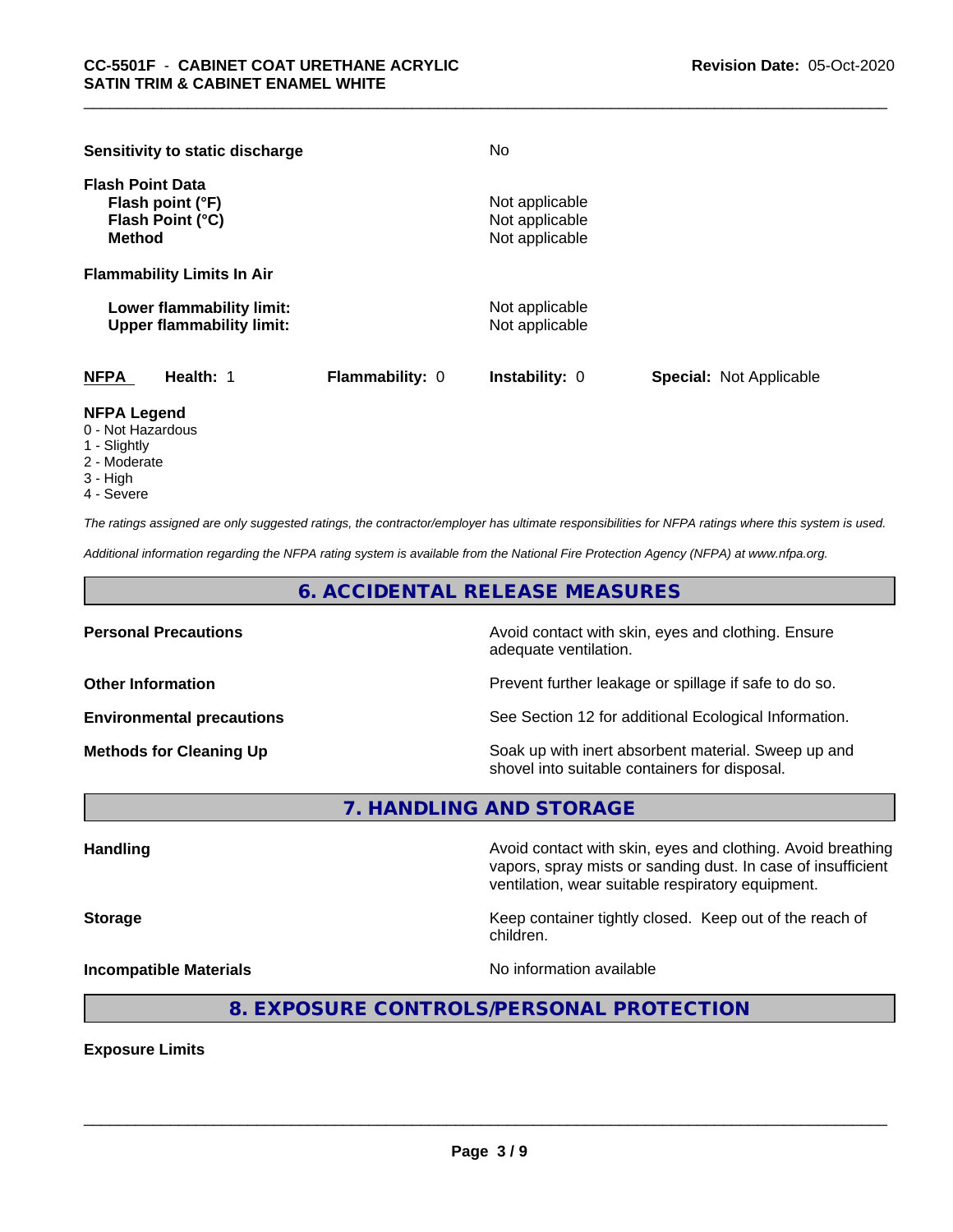| Sensitivity to static discharge                                                  |                        | No                                                 |                                |
|----------------------------------------------------------------------------------|------------------------|----------------------------------------------------|--------------------------------|
| <b>Flash Point Data</b><br>Flash point (°F)<br>Flash Point (°C)<br><b>Method</b> |                        | Not applicable<br>Not applicable<br>Not applicable |                                |
| <b>Flammability Limits In Air</b>                                                |                        |                                                    |                                |
| Lower flammability limit:<br><b>Upper flammability limit:</b>                    |                        | Not applicable<br>Not applicable                   |                                |
| <b>NFPA</b><br>Health: 1                                                         | <b>Flammability: 0</b> | <b>Instability: 0</b>                              | <b>Special: Not Applicable</b> |

#### **NFPA Legend**

- 0 Not Hazardous
- 1 Slightly
- 2 Moderate
- 3 High
- 4 Severe

*The ratings assigned are only suggested ratings, the contractor/employer has ultimate responsibilities for NFPA ratings where this system is used.*

*Additional information regarding the NFPA rating system is available from the National Fire Protection Agency (NFPA) at www.nfpa.org.*

**6. ACCIDENTAL RELEASE MEASURES**

**Personal Precautions Avoid contact with skin, eyes and clothing. Ensure** Avoid contact with skin, eyes and clothing. Ensure adequate ventilation.

**Other Information Discription Prevent further leakage or spillage if safe to do so.** 

**Environmental precautions** See Section 12 for additional Ecological Information.

**Methods for Cleaning Up Example 20 Soak** up with inert absorbent material. Sweep up and shovel into suitable containers for disposal.

**7. HANDLING AND STORAGE**

**Handling Handling Avoid contact with skin, eyes and clothing. Avoid breathing** vapors, spray mists or sanding dust. In case of insufficient ventilation, wear suitable respiratory equipment.

**Storage Keep container tightly closed. Keep out of the reach of Keep Keep container tightly closed. Keep out of the reach of** 

**Incompatible Materials No information available No** information available

 $\overline{\phantom{a}}$  ,  $\overline{\phantom{a}}$  ,  $\overline{\phantom{a}}$  ,  $\overline{\phantom{a}}$  ,  $\overline{\phantom{a}}$  ,  $\overline{\phantom{a}}$  ,  $\overline{\phantom{a}}$  ,  $\overline{\phantom{a}}$  ,  $\overline{\phantom{a}}$  ,  $\overline{\phantom{a}}$  ,  $\overline{\phantom{a}}$  ,  $\overline{\phantom{a}}$  ,  $\overline{\phantom{a}}$  ,  $\overline{\phantom{a}}$  ,  $\overline{\phantom{a}}$  ,  $\overline{\phantom{a}}$ 

# **8. EXPOSURE CONTROLS/PERSONAL PROTECTION**

children.

**Exposure Limits**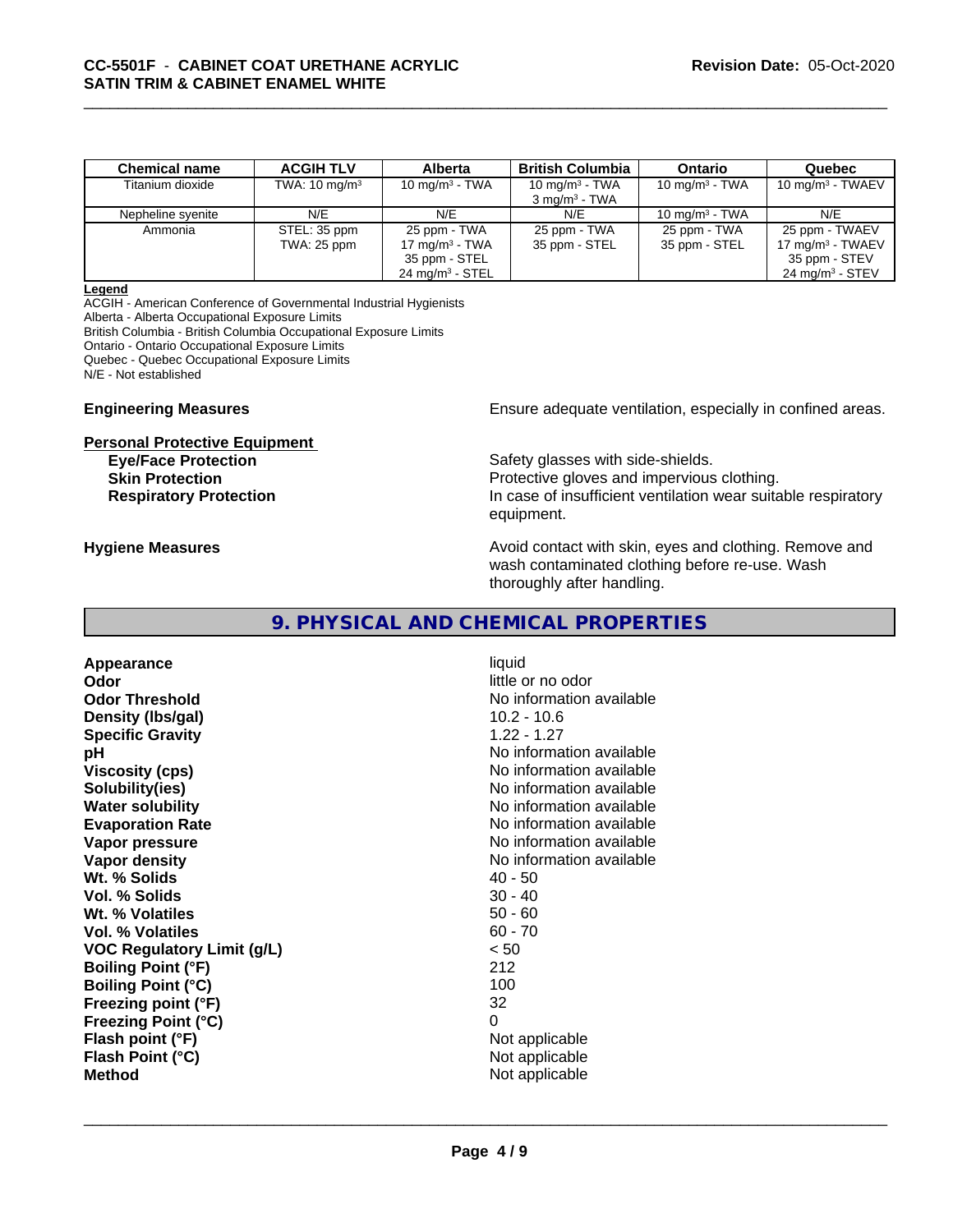| <b>Chemical name</b> | <b>ACGIH TLV</b>         | <b>Alberta</b>             | <b>British Columbia</b>  | <b>Ontario</b>    | Quebec                      |
|----------------------|--------------------------|----------------------------|--------------------------|-------------------|-----------------------------|
| Titanium dioxide     | TWA: $10 \text{ mg/m}^3$ | 10 mg/m $3$ - TWA          | 10 mg/m $3$ - TWA        | 10 mg/m $3$ - TWA | $10 \text{ mg/m}^3$ - TWAEV |
|                      |                          |                            | $3 \text{ mg/m}^3$ - TWA |                   |                             |
| Nepheline syenite    | N/E                      | N/E                        | N/E                      | 10 mg/m $3$ - TWA | N/E                         |
| Ammonia              | STEL: 35 ppm             | 25 ppm - TWA               | 25 ppm - TWA             | 25 ppm - TWA      | 25 ppm - TWAEV              |
|                      | TWA: 25 ppm              | 17 mg/m $3$ - TWA          | 35 ppm - STEL            | 35 ppm - STEL     | 17 mg/m $3$ - TWAEV         |
|                      |                          | 35 ppm - STEL              |                          |                   | 35 ppm - STEV               |
|                      |                          | $24 \text{ mg/m}^3$ - STEL |                          |                   | $24 \text{ mg/m}^3$ - STEV  |

#### **Legend**

ACGIH - American Conference of Governmental Industrial Hygienists Alberta - Alberta Occupational Exposure Limits British Columbia - British Columbia Occupational Exposure Limits Ontario - Ontario Occupational Exposure Limits Quebec - Quebec Occupational Exposure Limits N/E - Not established

# **Personal Protective Equipment**

**Engineering Measures Ensure** Ensure adequate ventilation, especially in confined areas.

**Eye/Face Protection** Safety glasses with side-shields. **Skin Protection Protection Protective gloves and impervious clothing. Respiratory Protection In case of insufficient ventilation wear suitable respiratory** equipment.

**Hygiene Measures Avoid contact with skin, eyes and clothing. Remove and Avoid contact with skin, eyes and clothing. Remove and Avoid contact with skin, eyes and clothing. Remove and** wash contaminated clothing before re-use. Wash thoroughly after handling.

# **9. PHYSICAL AND CHEMICAL PROPERTIES**

**Appearance** liquid **Odor** little or no odor **Odor Threshold** No information available **Density (lbs/gal)** 10.2 - 10.6 **Specific Gravity** 1.22 - 1.27 **pH pH**  $\blacksquare$ **Viscosity (cps)** No information available **Solubility(ies)** No information available **Water solubility** No information available **Evaporation Rate Evaporation Rate No information available Vapor pressure** No information available **Vapor density No information available No** information available **Wt.** % Solids 40 - 50 **Vol. % Solids** 30 - 40 **Wt. % Volatiles** 50 - 60 **Vol. % Volatiles** 60 - 70 **VOC Regulatory Limit (g/L)** < 50 **Boiling Point (°F) Boiling Point (°C)** 100 **Freezing point (°F)** 32 **Freezing Point (°C)** 0 **Flash point (°F)**  $\qquad \qquad$  Not applicable **Flash Point (°C)** Not applicable **Method** Not applicable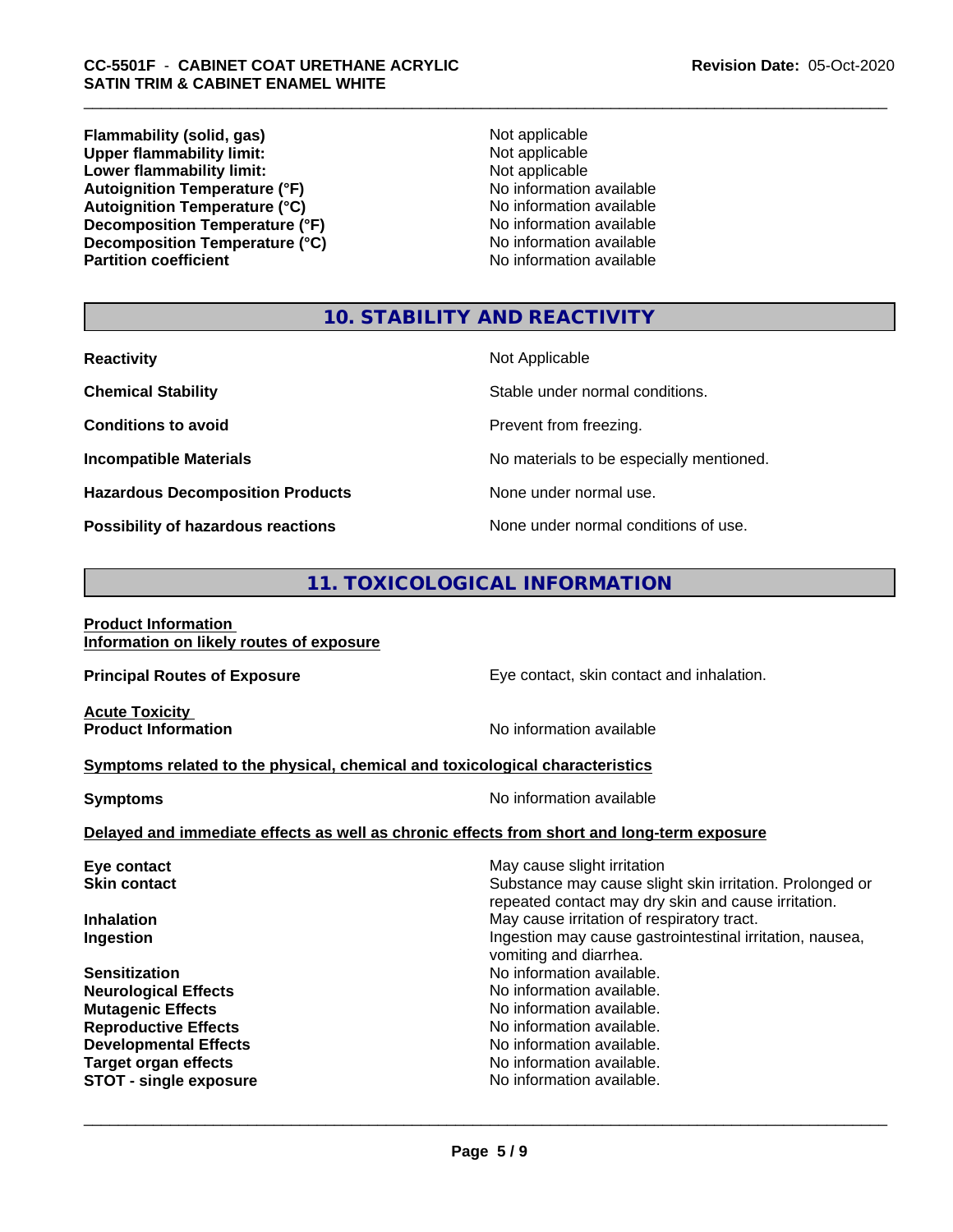**Flammability (solid, gas)**<br> **Upper flammability limit:**<br>
Upper flammability limit:<br>  $\begin{array}{ccc}\n\bullet & \bullet & \bullet \\
\bullet & \bullet & \bullet\n\end{array}$ **Upper flammability limit:**<br> **Lower flammability limit:**<br>
Not applicable<br>
Not applicable **Lower flammability limit:**<br> **Autoignition Temperature (°F)**<br>
Mo information available **Autoignition Temperature (°F)**<br> **Autoignition Temperature (°C)** No information available Autoignition Temperature (°C)<br>
Decomposition Temperature (°F)<br>
No information available **Decomposition Temperature (°F) Decomposition Temperature (°C)** No information available<br> **Partition coefficient Partition available** 

**No information available** 

# **10. STABILITY AND REACTIVITY**

| <b>Reactivity</b>                         | Not Applicable                           |
|-------------------------------------------|------------------------------------------|
| <b>Chemical Stability</b>                 | Stable under normal conditions.          |
| <b>Conditions to avoid</b>                | Prevent from freezing.                   |
| <b>Incompatible Materials</b>             | No materials to be especially mentioned. |
| <b>Hazardous Decomposition Products</b>   | None under normal use.                   |
| <b>Possibility of hazardous reactions</b> | None under normal conditions of use.     |

# **11. TOXICOLOGICAL INFORMATION**

**Product Information Information on likely routes of exposure**

**Principal Routes of Exposure Exposure** Eye contact, skin contact and inhalation.

**Acute Toxicity<br>Product Information** 

**No information available** 

#### **Symptoms related to the physical,chemical and toxicological characteristics**

**Symptoms** No information available

 $\overline{\phantom{a}}$  ,  $\overline{\phantom{a}}$  ,  $\overline{\phantom{a}}$  ,  $\overline{\phantom{a}}$  ,  $\overline{\phantom{a}}$  ,  $\overline{\phantom{a}}$  ,  $\overline{\phantom{a}}$  ,  $\overline{\phantom{a}}$  ,  $\overline{\phantom{a}}$  ,  $\overline{\phantom{a}}$  ,  $\overline{\phantom{a}}$  ,  $\overline{\phantom{a}}$  ,  $\overline{\phantom{a}}$  ,  $\overline{\phantom{a}}$  ,  $\overline{\phantom{a}}$  ,  $\overline{\phantom{a}}$ 

### **Delayed and immediate effects as well as chronic effects from short and long-term exposure**

| Eye contact                   | May cause slight irritation                                                                                     |
|-------------------------------|-----------------------------------------------------------------------------------------------------------------|
| <b>Skin contact</b>           | Substance may cause slight skin irritation. Prolonged or<br>repeated contact may dry skin and cause irritation. |
| <b>Inhalation</b>             | May cause irritation of respiratory tract.                                                                      |
| Ingestion                     | Ingestion may cause gastrointestinal irritation, nausea,<br>vomiting and diarrhea.                              |
| <b>Sensitization</b>          | No information available.                                                                                       |
| <b>Neurological Effects</b>   | No information available.                                                                                       |
| <b>Mutagenic Effects</b>      | No information available.                                                                                       |
| <b>Reproductive Effects</b>   | No information available.                                                                                       |
| <b>Developmental Effects</b>  | No information available.                                                                                       |
| <b>Target organ effects</b>   | No information available.                                                                                       |
| <b>STOT - single exposure</b> | No information available.                                                                                       |
|                               |                                                                                                                 |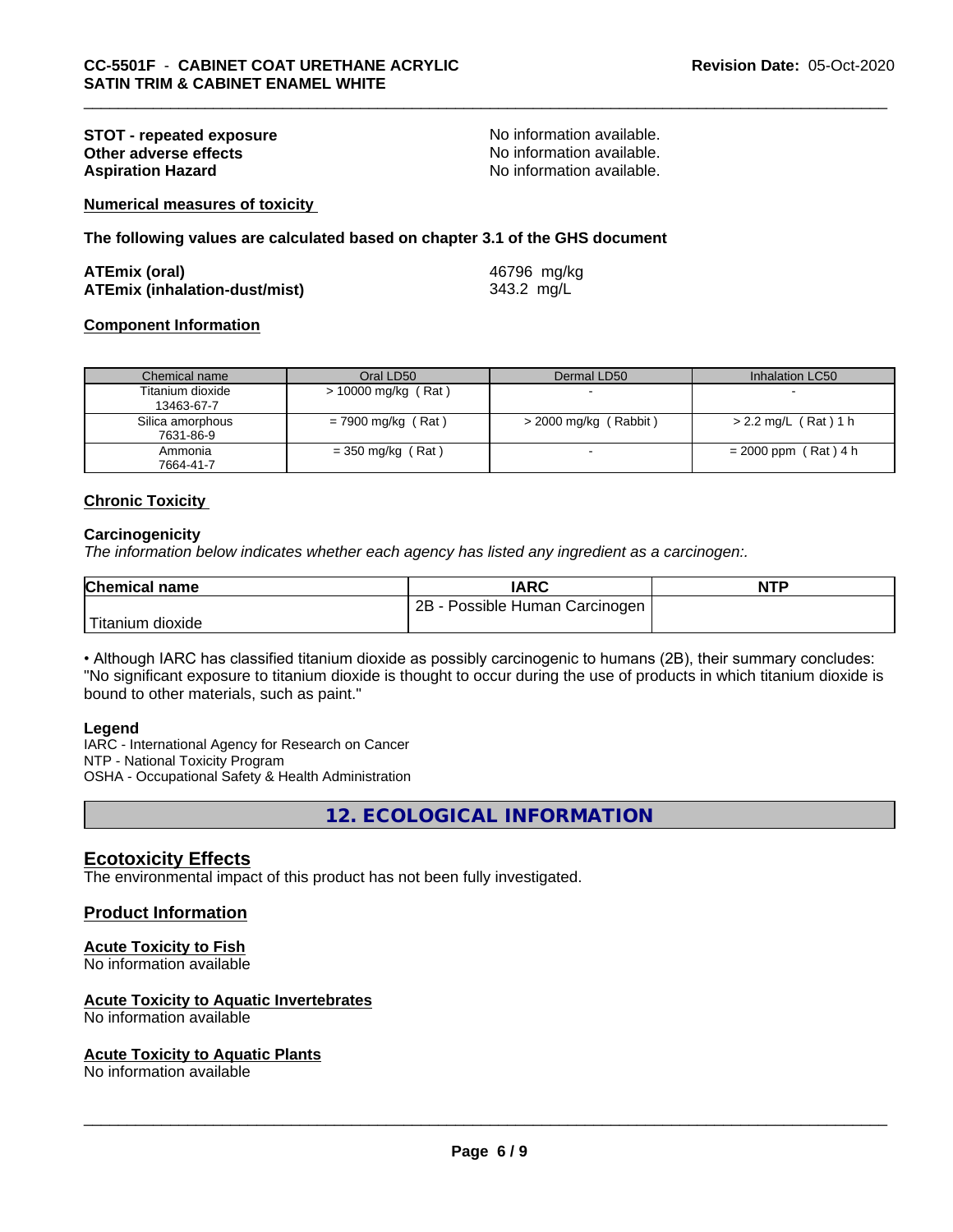# **STOT - repeated exposure and the set of the STOT - repeated exposure**<br> **Other adverse effects CONS CONS CONS NO** information available. **Other adverse effects<br>Aspiration Hazard**

No information available.

**Numerical measures of toxicity**

**The following values are calculated based on chapter 3.1 of the GHS document**

| <b>ATEmix (oral)</b>                 | 46796 mg/kg |
|--------------------------------------|-------------|
| <b>ATEmix (inhalation-dust/mist)</b> | 343.2 mg/L  |

### **Component Information**

| Chemical name                  | Oral LD50            | Dermal LD50             | Inhalation LC50        |
|--------------------------------|----------------------|-------------------------|------------------------|
| Titanium dioxide<br>13463-67-7 | > 10000 mg/kg (Rat)  |                         |                        |
| Silica amorphous<br>7631-86-9  | $= 7900$ mg/kg (Rat) | $>$ 2000 mg/kg (Rabbit) | $> 2.2$ mg/L (Rat) 1 h |
| Ammonia<br>7664-41-7           | $=$ 350 mg/kg (Rat)  |                         | $= 2000$ ppm (Rat) 4 h |

#### **Chronic Toxicity**

#### **Carcinogenicity**

*The information below indicateswhether each agency has listed any ingredient as a carcinogen:.*

| <b>Chemical name</b> | <b>IARC</b>                     | <b>NTP</b> |
|----------------------|---------------------------------|------------|
|                      | 2B<br>Possible Human Carcinogen |            |
| Titanium<br>dioxide  |                                 |            |

• Although IARC has classified titanium dioxide as possibly carcinogenic to humans (2B), their summary concludes: "No significant exposure to titanium dioxide is thought to occur during the use of products in which titanium dioxide is bound to other materials, such as paint."

#### **Legend**

IARC - International Agency for Research on Cancer NTP - National Toxicity Program OSHA - Occupational Safety & Health Administration

**12. ECOLOGICAL INFORMATION**

# **Ecotoxicity Effects**

The environmental impact of this product has not been fully investigated.

#### **Product Information**

#### **Acute Toxicity to Fish**

No information available

# **Acute Toxicity to Aquatic Invertebrates**

No information available

#### **Acute Toxicity to Aquatic Plants**

No information available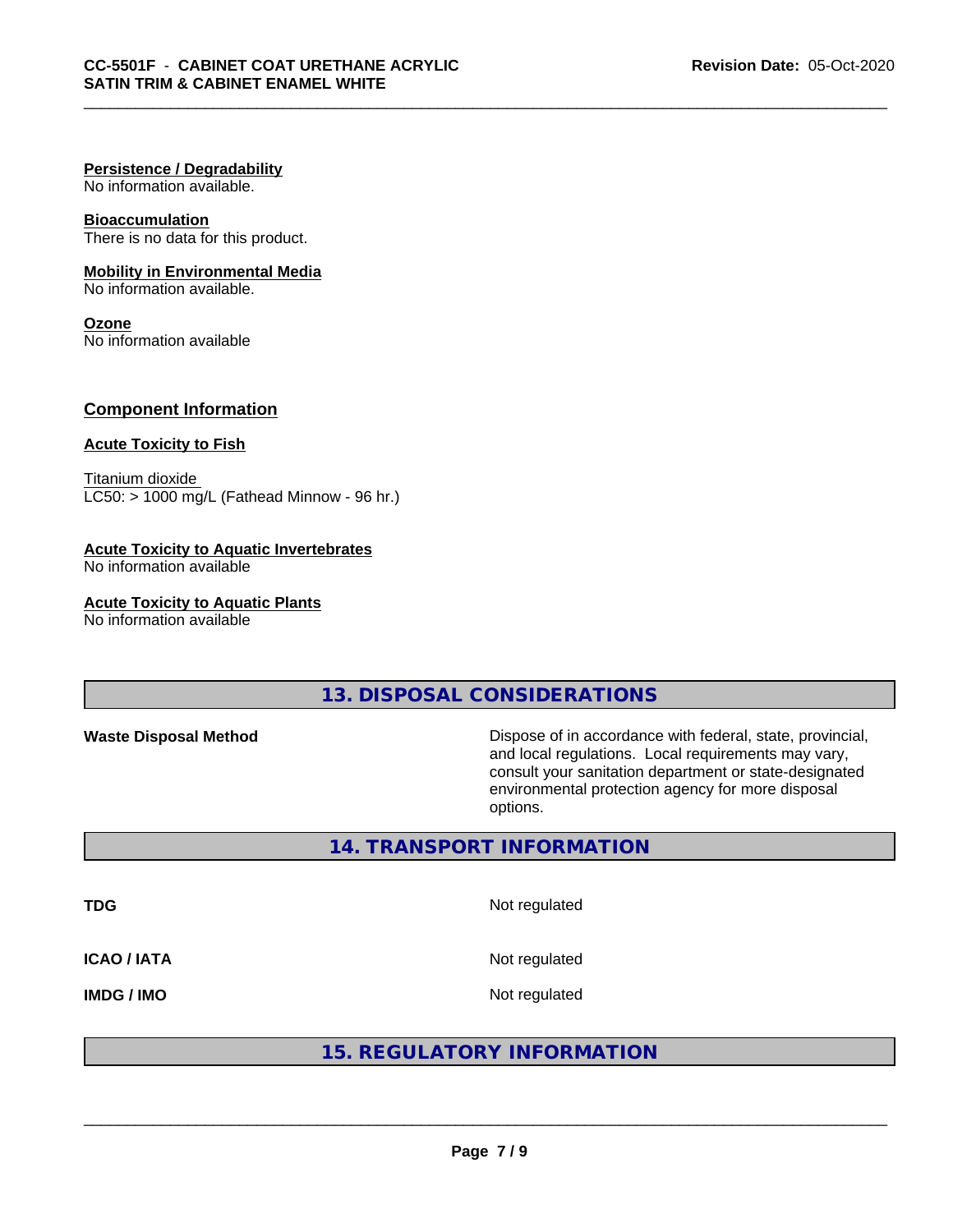#### **Persistence / Degradability**

No information available.

#### **Bioaccumulation**

There is no data for this product.

#### **Mobility in Environmental Media**

No information available.

#### **Ozone**

No information available

# **Component Information**

#### **Acute Toxicity to Fish**

Titanium dioxide  $LC50:$  > 1000 mg/L (Fathead Minnow - 96 hr.)

#### **Acute Toxicity to Aquatic Invertebrates**

No information available

**Acute Toxicity to Aquatic Plants**

No information available

**13. DISPOSAL CONSIDERATIONS**

Waste Disposal Method **Dispose of in accordance with federal, state, provincial,** and local regulations. Local requirements may vary, consult your sanitation department or state-designated environmental protection agency for more disposal options.

**14. TRANSPORT INFORMATION**

**TDG** Not regulated **ICAO / IATA** Not regulated **IMDG / IMO** Not regulated

# **15. REGULATORY INFORMATION**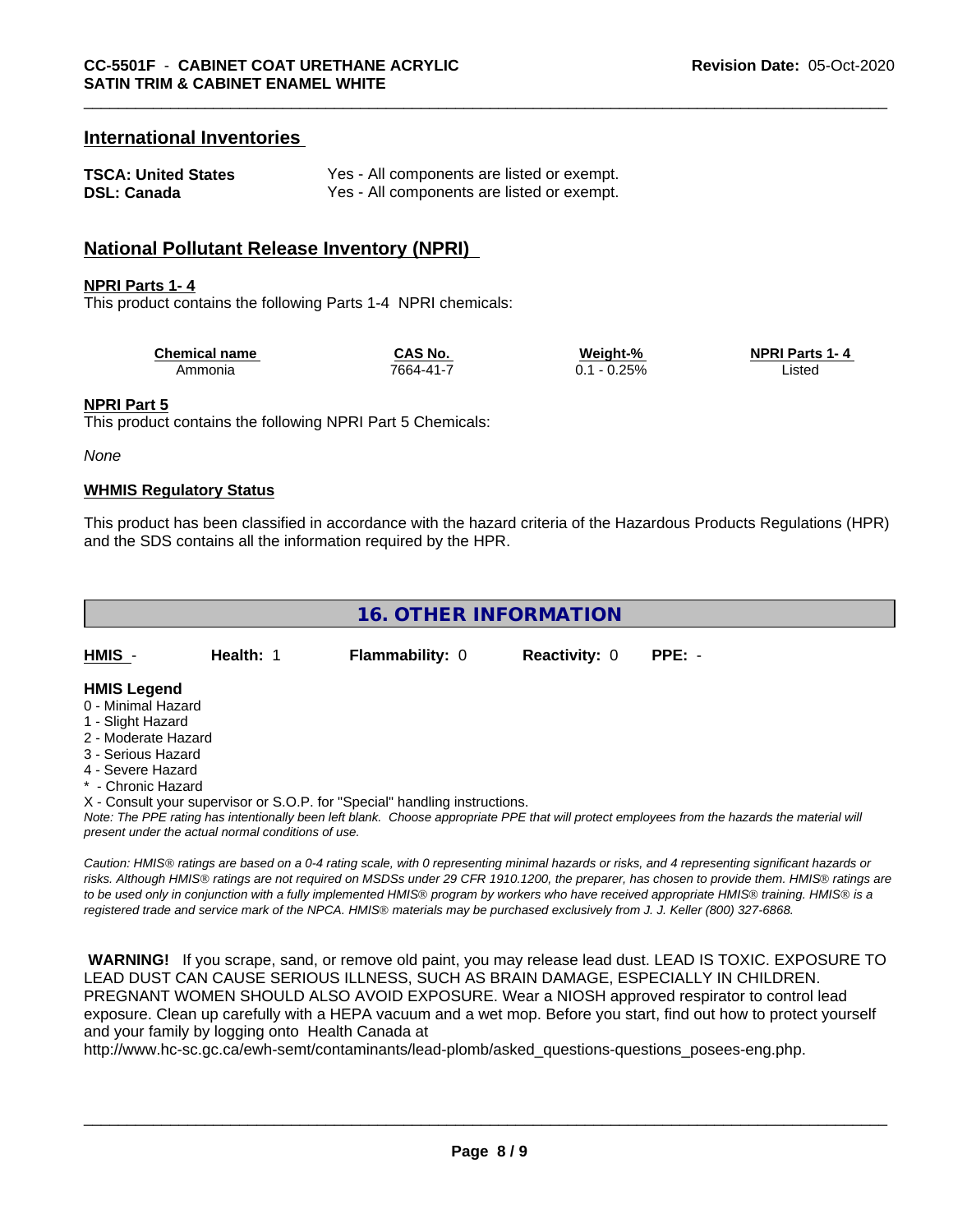# **International Inventories**

| <b>TSCA: United States</b> | Yes - All components are listed or exempt. |
|----------------------------|--------------------------------------------|
| <b>DSL: Canada</b>         | Yes - All components are listed or exempt. |

# **National Pollutant Release Inventory (NPRI)**

#### **NPRI Parts 1- 4**

This product contains the following Parts 1-4 NPRI chemicals:

| <b>Chemical name</b> | `S No.<br>AS. | Weight-%              | <b>NPRI Parts 1-4</b> |
|----------------------|---------------|-----------------------|-----------------------|
| Ammonia              | 7664-41-7     | 250/<br>$\mathcal{L}$ | .istec<br>.           |

#### **NPRI Part 5**

This product contains the following NPRI Part 5 Chemicals:

*None*

#### **WHMIS Regulatory Status**

This product has been classified in accordance with the hazard criteria of the Hazardous Products Regulations (HPR) and the SDS contains all the information required by the HPR.

| <b>16. OTHER INFORMATION</b>             |           |                        |                      |          |  |  |  |
|------------------------------------------|-----------|------------------------|----------------------|----------|--|--|--|
| HMIS -                                   | Health: 1 | <b>Flammability: 0</b> | <b>Reactivity: 0</b> | $PPE: -$ |  |  |  |
| <b>HMIS Legend</b><br>0 - Minimal Hazard |           |                        |                      |          |  |  |  |
| 1 - Slight Hazard<br>2 - Moderate Hazard |           |                        |                      |          |  |  |  |
| 3 - Serious Hazard                       |           |                        |                      |          |  |  |  |
| 4 - Severe Hazard<br>* - Chronic Hazard  |           |                        |                      |          |  |  |  |

X - Consult your supervisor or S.O.P. for "Special" handling instructions.

*Note: The PPE rating has intentionally been left blank. Choose appropriate PPE that will protect employees from the hazards the material will present under the actual normal conditions of use.*

*Caution: HMISÒ ratings are based on a 0-4 rating scale, with 0 representing minimal hazards or risks, and 4 representing significant hazards or risks. Although HMISÒ ratings are not required on MSDSs under 29 CFR 1910.1200, the preparer, has chosen to provide them. HMISÒ ratings are to be used only in conjunction with a fully implemented HMISÒ program by workers who have received appropriate HMISÒ training. HMISÒ is a registered trade and service mark of the NPCA. HMISÒ materials may be purchased exclusively from J. J. Keller (800) 327-6868.*

 **WARNING!** If you scrape, sand, or remove old paint, you may release lead dust. LEAD IS TOXIC. EXPOSURE TO LEAD DUST CAN CAUSE SERIOUS ILLNESS, SUCH AS BRAIN DAMAGE, ESPECIALLY IN CHILDREN. PREGNANT WOMEN SHOULD ALSO AVOID EXPOSURE.Wear a NIOSH approved respirator to control lead exposure. Clean up carefully with a HEPA vacuum and a wet mop. Before you start, find out how to protect yourself and your family by logging onto Health Canada at

http://www.hc-sc.gc.ca/ewh-semt/contaminants/lead-plomb/asked\_questions-questions\_posees-eng.php.